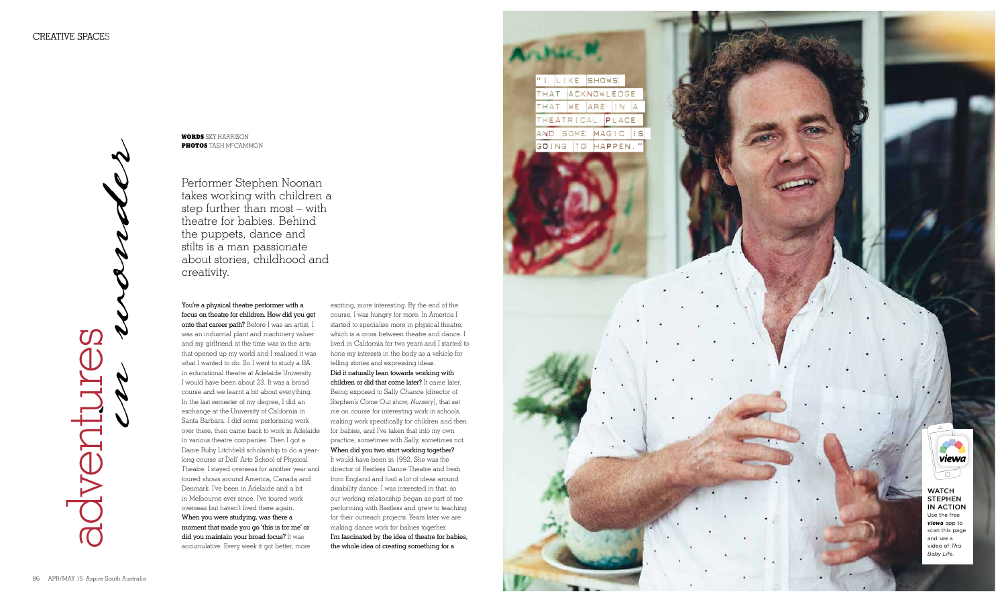Performer Stephen Noonan takes working with children a step further than most – with theatre for babies. Behind the puppets, dance and stilts is a man passionate about stories, childhood and creativity.

**WORDS** s k y harris o n **PHOTOS** TAS H M CCAMM O N

You're a physical theatre performer with a focus on theatre for children. How did you get onto that career path? Before I was an artist, I was an industrial plant and machinery valuer and my girlfriend at the time was in the arts; that opened up my world and I realised it was what I wanted to do. So I went to study a BA in educational theatre at Adelaide University. I would have been about 23. It was a broad course and we learnt a bit about everything. In the last semester of my degree, I did an exchange at the University of California in Santa Barbara. I did some performing work over there, then came back to work in Adelaide in various theatre companies. Then I got a Dame Ruby Litchfield scholarship to do a yearlong course at Dell' Arte School of Physical Theatre. I stayed overseas for another year and toured shows around America, Canada and Denmark. I've been in Adelaide and a bit in Melbourne ever since. I've toured work overseas but haven't lived there again. When you were studying, was there a moment that made you go 'this is for me' or did you maintain your broad focus? It was accumulative. Every week it got better, more

## **WATCH STEPHEN** in action Use the free *viewa* app to scan this page

exciting, more interesting. By the end of the course, I was hungry for more. In America I started to specialise more in physical theatre, which is a cross between theatre and dance. I lived in California for two years and I started to hone my interests in the body as a vehicle for telling stories and expressing ideas. Did it naturally lean towards working with children or did that come later? It came later. Being exposed to Sally Chance [director of Stephen's Come Out show, *Nursery*], that set me on course for interesting work in schools, making work specifically for children and then for babies, and I've taken that into my own practice, sometimes with Sally, sometimes not. When did you two start working together? It would have been in 1992. She was the director of Restless Dance Theatre and fresh from England and had a lot of ideas around disability dance. I was interested in that, so our working relationship began as part of me performing with Restless and grew to teaching for their outreach projects. Years later we are making dance work for babies together. I'm fascinated by the idea of theatre for babies, the whole idea of creating something for a





and see a video of *This Baby Life* .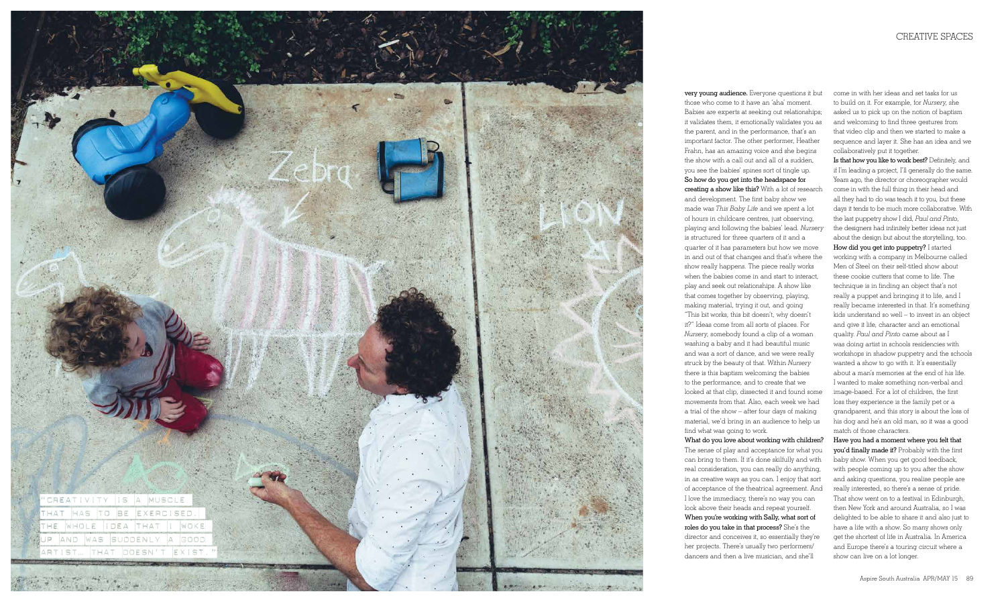

very young audience. Everyone questions it but those who come to it have an 'aha' moment. Babies are experts at seeking out relationships; it validates them, it emotionally validates you as the parent, and in the performance, that's an important factor. The other performer, Heather Frahn, has an amazing voice and she begins the show with a call out and all of a sudden, you see the babies' spines sort of tingle up. So how do you get into the headspace for creating a show like this? With a lot of research and development. The first baby show we made was *This Baby Life* and we spent a lot of hours in childcare centres, just observing, playing and following the babies' lead. *Nursery*  is structured for three quarters of it and a quarter of it has parameters but how we move in and out of that changes and that's where the show really happens. The piece really works when the babies come in and start to interact, play and seek out relationships. A show like that comes together by observing, playing, making material, trying it out, and going "This bit works, this bit doesn't, why doesn't it?" Ideas come from all sorts of places. For *Nursery*, somebody found a clip of a woman washing a baby and it had beautiful music and was a sort of dance, and we were really struck by the beauty of that. Within *Nursery* there is this baptism welcoming the babies to the performance, and to create that we looked at that clip, dissected it and found some movements from that. Also, each week we had a trial of the show – after four days of making material, we'd bring in an audience to help us find what was going to work.

What do you love about working with children? The sense of play and acceptance for what you can bring to them. If it's done skilfully and with real consideration, you can really do anything, in as creative ways as you can. I enjoy that sort of acceptance of the theatrical agreement. And I love the immediacy, there's no way you can look above their heads and repeat yourself. When you're working with Sally, what sort of roles do you take in that process? She's the director and conceives it, so essentially they're her projects. There's usually two performers/ dancers and then a live musician, and she'll

come in with her ideas and set tasks for us to build on it. For example, for *Nursery*, she asked us to pick up on the notion of baptism and welcoming to find three gestures from that video clip and then we started to make a sequence and layer it. She has an idea and we collaboratively put it together.

Is that how you like to work best? Definitely, and if I'm leading a project, I'll generally do the same. Years ago, the director or choreographer would come in with the full thing in their head and all they had to do was teach it to you, but these days it tends to be much more collaborative. With the last puppetry show I did, *Paul and Pinto*, the designers had infinitely better ideas not just about the design but about the storytelling, too. How did you get into puppetry? I started working with a company in Melbourne called Men of Steel on their self-titled show about these cookie cutters that come to life. The technique is in finding an object that's not really a puppet and bringing it to life, and I really became interested in that. It's something kids understand so well – to invest in an object and give it life, character and an emotional quality. *Paul and Pinto* came about as I was doing artist in schools residencies with workshops in shadow puppetry and the schools wanted a show to go with it. It's essentially about a man's memories at the end of his life. I wanted to make something non-verbal and image-based. For a lot of children, the first loss they experience is the family pet or a grandparent, and this story is about the loss of his dog and he's an old man, so it was a good match of those characters.

Have you had a moment where you felt that you'd finally made it? Probably with the first baby show. When you get good feedback, with people coming up to you after the show and asking questions, you realise people are really interested, so there's a sense of pride. That show went on to a festival in Edinburgh, then New York and around Australia, so I was delighted to be able to share it and also just to have a life with a show. So many shows only get the shortest of life in Australia. In America and Europe there's a touring circuit where a show can live on a lot longer.